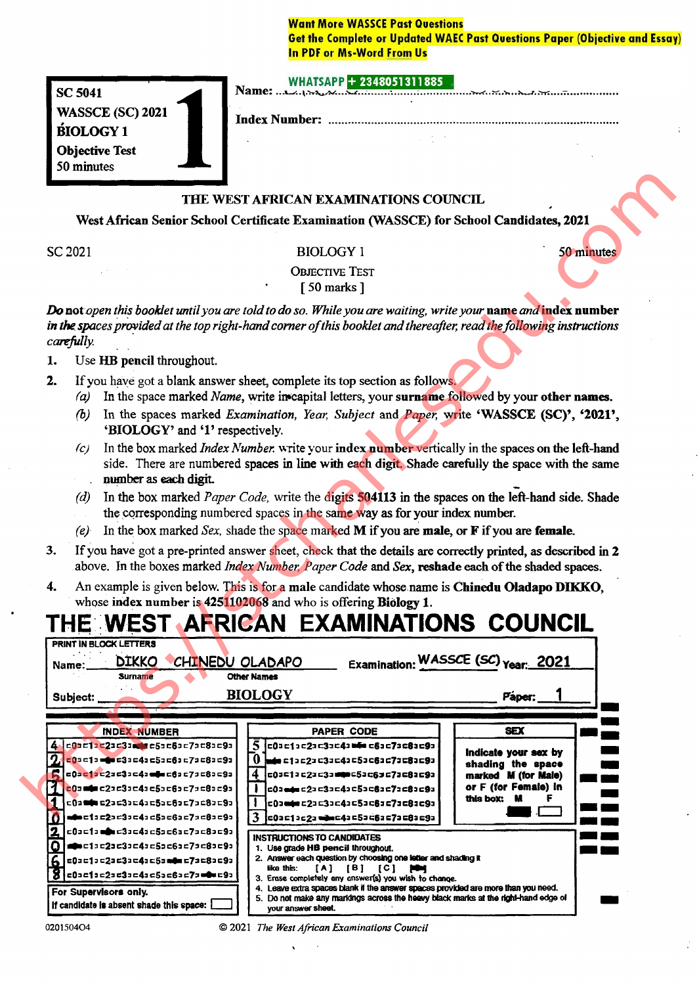# **Want More WASSCE Past Questions Get the Complete or Updated WAEC Past Questions Paper (Objective and Essay) In PDF or Ms-Word From Us**

|  | WHARA22+2348051311885 |  |
|--|-----------------------|--|
|  |                       |  |

**SC 5041 WASSCE (SC) 2021 BIOLOGY1 Objective Test** 50 minutes

Index Number: ..............................

- 
- -
	-
	-
	-
	-
- 
- 

|                                    |                                                                                 | THE WEST AFRICAN EXAMINATIONS COUNCIL                                                                                                                                                                                                |                                          |
|------------------------------------|---------------------------------------------------------------------------------|--------------------------------------------------------------------------------------------------------------------------------------------------------------------------------------------------------------------------------------|------------------------------------------|
|                                    |                                                                                 | West African Senior School Certificate Examination (WASSCE) for School Candidates, 2021                                                                                                                                              |                                          |
|                                    |                                                                                 |                                                                                                                                                                                                                                      |                                          |
|                                    | SC 2021                                                                         | <b>BIOLOGY 1</b>                                                                                                                                                                                                                     | 50 minutes                               |
|                                    |                                                                                 | <b>OBJECTIVE TEST</b>                                                                                                                                                                                                                |                                          |
|                                    |                                                                                 | $\lceil 50 \text{ marks } \rceil$                                                                                                                                                                                                    |                                          |
|                                    | carefully.                                                                      | Do not open this booklet until you are told to do so. While you are waiting, write your name and index number<br>in the spaces provided at the top right-hand corner of this booklet and thereafter, read the following instructions |                                          |
| 1.                                 | Use HB pencil throughout.                                                       |                                                                                                                                                                                                                                      |                                          |
| 2.                                 | (a)                                                                             | If you have got a blank answer sheet, complete its top section as follows.<br>In the space marked Name, write in capital letters, your surname followed by your other names.                                                         |                                          |
|                                    | (b)<br>'BIOLOGY' and '1' respectively.                                          | In the spaces marked Examination, Year, Subject and Paper, write 'WASSCE (SC)', '2021',                                                                                                                                              |                                          |
|                                    | (c)<br>number as each digit.                                                    | In the box marked <i>Index Number</i> , write your index number vertically in the spaces on the left-hand<br>side. There are numbered spaces in line with each digit. Shade carefully the space with the same                        |                                          |
|                                    | (d)                                                                             | In the box marked <i>Paper Code</i> , write the digits 504113 in the spaces on the left-hand side. Shade                                                                                                                             |                                          |
|                                    |                                                                                 | the corresponding numbered spaces in the same way as for your index number.                                                                                                                                                          |                                          |
|                                    | (e)                                                                             | In the box marked Sex, shade the space marked $M$ if you are male, or $F$ if you are female.                                                                                                                                         |                                          |
|                                    |                                                                                 |                                                                                                                                                                                                                                      |                                          |
|                                    |                                                                                 |                                                                                                                                                                                                                                      |                                          |
|                                    |                                                                                 | If you have got a pre-printed answer sheet, check that the details are correctly printed, as described in 2                                                                                                                          |                                          |
|                                    |                                                                                 | above. In the boxes marked Index Number, Paper Code and Sex, reshade each of the shaded spaces.                                                                                                                                      |                                          |
|                                    |                                                                                 | An example is given below. This is for a male candidate whose name is Chinedu Oladapo DIKKO,                                                                                                                                         |                                          |
|                                    |                                                                                 | whose index number is 4251102068 and who is offering Biology 1.                                                                                                                                                                      |                                          |
|                                    |                                                                                 | THE WEST AFRICAN EXAMINATIONS COUNCIL                                                                                                                                                                                                |                                          |
|                                    | PRINT IN BLOCK LETTERS                                                          |                                                                                                                                                                                                                                      |                                          |
|                                    | <b>DIKKO</b><br>CHINEDU OLADAPO<br>Name:<br><b>Surname</b>                      | <b>Other Names</b>                                                                                                                                                                                                                   | Examination: WASSCE (SC) Year: 2021      |
|                                    |                                                                                 |                                                                                                                                                                                                                                      |                                          |
|                                    | Subject:                                                                        | <b>BIOLOGY</b>                                                                                                                                                                                                                       | Paper:                                   |
|                                    |                                                                                 |                                                                                                                                                                                                                                      |                                          |
|                                    | <b>INDEX NUMBER</b><br>4 c0ac1ac2ac3acec5ac6ac7ac8ac9a                          | <b>PAPER CODE</b><br>5 c01c11c21c31c41 bis c61c71c81c91                                                                                                                                                                              | <b>SEX</b>                               |
|                                    | c0=c1= d= c3=c4=c5=c6=c7=c8=c9=                                                 | $0$ m/m c1 = c2 = c3 = c4 = 5 = c6 = c7 = c8 = c9 =                                                                                                                                                                                  | Indicate your sex by                     |
|                                    |                                                                                 | $\overline{\mathbf{4}}$<br>c0sc1ac2ac3amm=c5ac6sc7ac8ac9a                                                                                                                                                                            | shading the space<br>marked M (for Male) |
|                                    | $ 000$ min c22 c33 c43 c53 c63 c73 c83 c93                                      | .<br>c0a <del>ada</del> c2a c3a c4a c5a c6a c7a c8a c9a                                                                                                                                                                              | or F (for Female) in                     |
|                                    | c0a <b>min c2</b> a c3ac4ac5ac6ac7ac8ac9a                                       | c0ambrc2ac3ac4ac5ac6ac7ac8ac9a                                                                                                                                                                                                       | this box: M<br>F                         |
|                                    | <b>≈‡≈</b> ⊏1±⊆2≥≈3≠⊂4±c5≥⊏6≥ <mark>⊂7</mark> ≠⊂8≥⊏9∍                           | 3<br>c0ac1ac2a == c4ac5ac6ac7ac8ac9a                                                                                                                                                                                                 |                                          |
|                                    | $= 0$ a $= 1$ a $= 0$ a $= 3$ a $= 4$ a $= 5$ a $= 6$ a $= 7$ a $= 8$ a $= 9$ a | <b>INSTRUCTIONS TO CANDIDATES</b>                                                                                                                                                                                                    |                                          |
| Ð                                  | <b>●</b> ●⊏1コ⊏2コ⊏3コ⊏4コ⊏5コc6コ⊏7コ⊏8コ⊏9コ'                                          | 1. Use grade HB pencil throughout.                                                                                                                                                                                                   |                                          |
|                                    | c0ac1ac2ac3ac4ac5am0=c7ac8ac9a                                                  | 2. Answer each question by choosing one letter and shading it<br>like this:<br>$[A]$ $[B]$ $[C]$ $[\bullet]$                                                                                                                         |                                          |
| 3.<br>4.<br>1<br>2<br>O<br>6.<br>8 | c0ac1ac2s=3ac4ac5ac6ac7a <b>=0</b> =c9a<br>For Supervisors only.                | 3. Erase completely any answer(s) you wish to change.<br>4. Leave extra spaces blank if the answer spaces provided are more than you need.                                                                                           |                                          |

0201504O4

<sup>© 2021</sup> The West African Examinations Council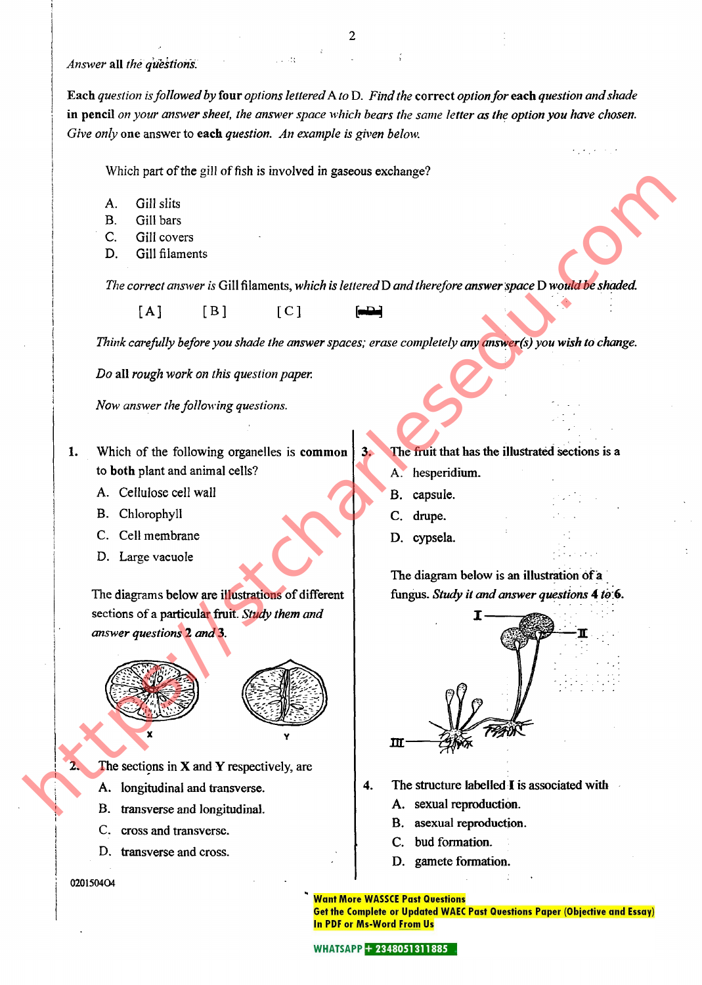## Answer all the questions.

Each question is followed by four options lettered A to D. Find the correct option for each question and shade in pencil on your answer sheet, the answer space which bears the same letter as the option you have chosen. Give only one answer to each question. An example is given below.

Which part of the gill of fish is involved in gaseous exchange?

i sida

- A. Gill slits
- B. Gill bars
- C. Gill covers
- D. Gill filaments

The correct answer is Gill filaments, which is lettered D and therefore answer space D would be shaded.

 $[A]$   $[B]$   $[C]$   $[-4]$ 

Think carefully before you shade the answer spaces; erase completely any answer(s) you wish to change.

Do all rough work on this question paper.

Now answer the following questions.

- Which of the following organelles is common to both plant and animal cells?
	- A. Cellulose cell wall
	- B. Chlorophyll
	- C. Cell membrane
	- D. Large vacuole

The diagrams below are illustrations of different sections of a particular fruit. Study them and answer questions 2 and3.





2. The sections in  $X$  and  $Y$  respectively, are

- A. longitudinal and transverse.
- B. transverse and longitudinal.
- C. cross and transverse.
- D. transverse and cross.

020150404

# The fruit that has the illustrated sections is a

- A. hesperidium.
- B. capsule.
- C. drupe.
- D. cypsela.

The diagram below is an illustration of a fungus. Study it and answer questions 4 to 6.



- - A. sexual reproduction.
	- B. asexual reproduction.
	- C. bud formation.
	- D. gamete formation.

### **Want More WASSCE Past Questions**

**Get the Complete or Updated WAEC Past Questions Paper (Objective and Essay) In PDF or Ms-Word From Us**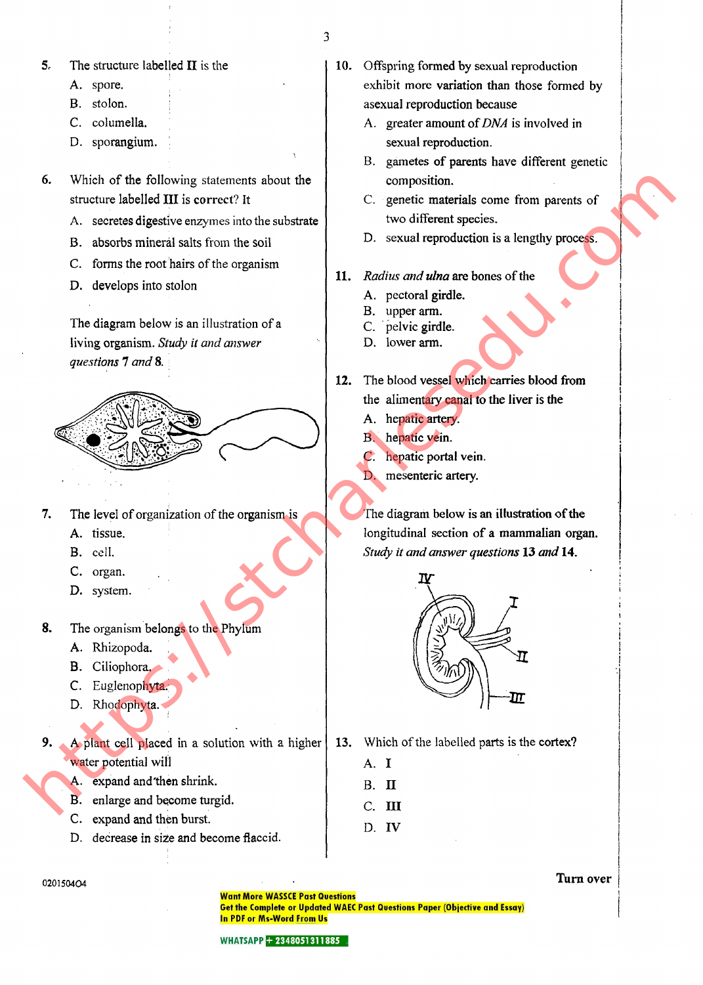3

5. The structure labelled  $II$  is the

- A. spore.
- B. stolon.
- C. columella.
- D. sporangium.
- 6. Which of the following statements about the structure labelled III is correct? It
	- A. secretes digestive enzymes into the substrate
	- B. absorbs mineral salts from the soil
	- C. forms the root hairs of the organism
	- D. develops into stolon

The diagram below is an illustration of a living organism. Study it and answer questions 7 and 8.



- 7. The level of organization of the organism is
	- A. tissue.
	- B. cell.
	- C. organ.
	- D. system.
- 8. The organism belongs to the Phylum
	- A. Rhizopoda.
	- B. Ciliophora,
	- C. Euglenophyta.
	- D. Rhodophyta.
- 9. A plant cell placed in a solution with a higher water potential will
	- A. expand and'then shrink.
	- B. enlarge and become turgid.
	- C. expand and then burst.
	- D. decrease in size and become flaccid.
- 10. Offspring formed by sexual reproduction exhibit more variation than those formed by asexual reproduction because
	- A. greater amount of DNA is involved in sexual reproduction.
	- B. gametes of parents have different genetic composition.
	- C. genetic materials come from parents of two different species.
	- D. sexual reproduction is a lengthy process.
- 11. Radius and ulna are bones of the
	- A. pectoral girdle.
	- B. upper arm.
	- C. pelvic girdle.
	- D. lower arm.
- 12. The blood vessel which carries blood from the alimentary canal to the liver is the
	- A. hepatic artery.
	- B. hepatic vein.
	- C. hepatic portal vein.
	- D. mesenteric artery.

The diagram below is an illustration of the longitudinal section of a mammalian organ. Study it and answer questions 13 and 14.



- 13. Which of the labelled parts is the cortex?<br>A.  $I$ 
	-
	- b. n
	- C. HI
	- D. IV

020150404

Turn over

**Want More WASSCE Past Questions** Get the Complete or Updated WAEC Past Questions Paper (Objective and Essay) In PDF or Ms-Word From Us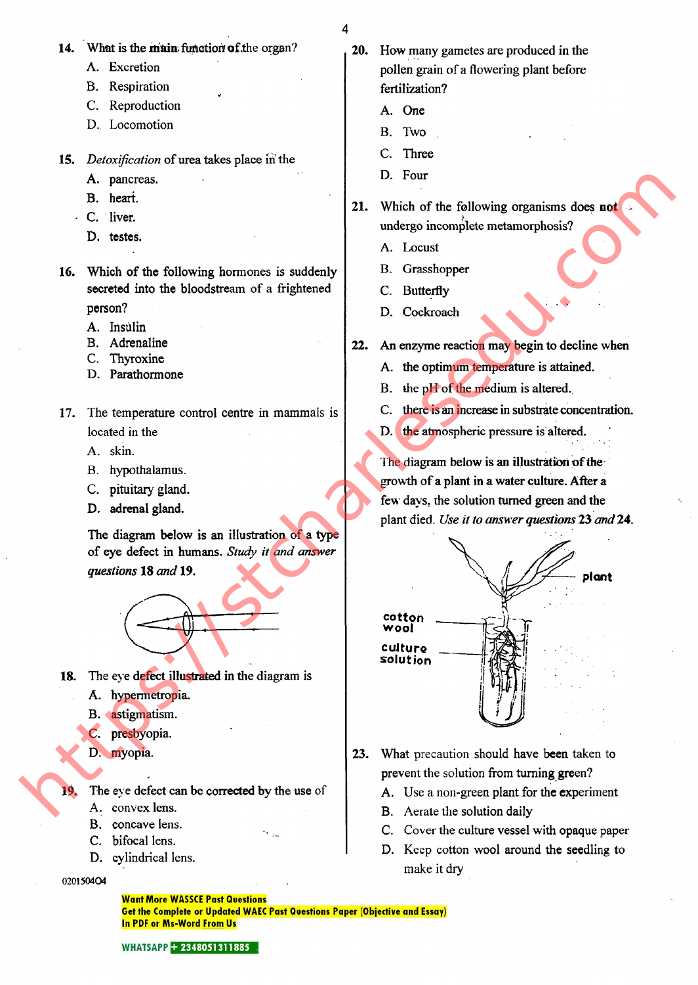- 
- 14. What is the main function of the organ?

«r

- A. Excretion
- B. Respiration
- C. Reproduction
- D. Locomotion
- 15. Detoxification of urea takes place in the
	- A. pancreas.
	- B. heart.
	- C. liver.
		- D. testes.
- 16. Which of the following hormones is suddenly secreted into the bloodstream of a frightened person?
	- A. Insulin
	- B. Adrenaline
	- C. Thyroxine
	- D. Parathormone
- 17. The temperature control centre in mammals is located in the
	- A. skin.
	- B. hypothalamus.
	- C. pituitary gland.
	- D. adrenal gland.

The diagram below is an illustration of a type of eye defect in humans. Study it and answer questions 18and19.



- 18. The eve defect illustrated in the diagram is
	- A. hypermetropia.
	- B. astigmatism.
	- C. presbyopia.
	- D. myopia.

19. The eve defect can be corrected by the use of

- A. convex lens.
- B. concave lens.
- C. bifocal lens.
- D. cylindrical lens.

## 020150404

20. How many gametes are produced in the pollen grain of a flowering plant before fertilization?

- A. One
- B. Two
- C. Three
- D. Four
- 21. Which of the following organisms does not undergo incomplete metamorphosis?

-

- A. Locust
- B. Grasshopper
- C. Butterfly
- D. Cockroach
- 22. An enzyme reaction may begin to decline when
	- A. the optimum temperature is attained.
	- B. the pH of the medium is altered.
	- C. there is an increase in substrate concentration.
	- D. the atmospheric pressure is altered.

The diagram below is an illustration of thegrowth of a plant in a water culture. After a few days, the solution turned green and the plant died. Use it to answer questions 23 and 24.



- 23. What precaution should have been taken to prevent the solution from turning green?
	- A. Use a non-green plant for the experiment
	- B. Aerate the solution daily
	- C. Cover the culture vessel with opaque paper
	- D. Keep cotton wool around the seedling to make it dry

**Want More WASSCE Past Questions** Get the Complete or Updated WAEC Past Questions Paper (Objective and Essay) **In PDF or Ms-Word From Us**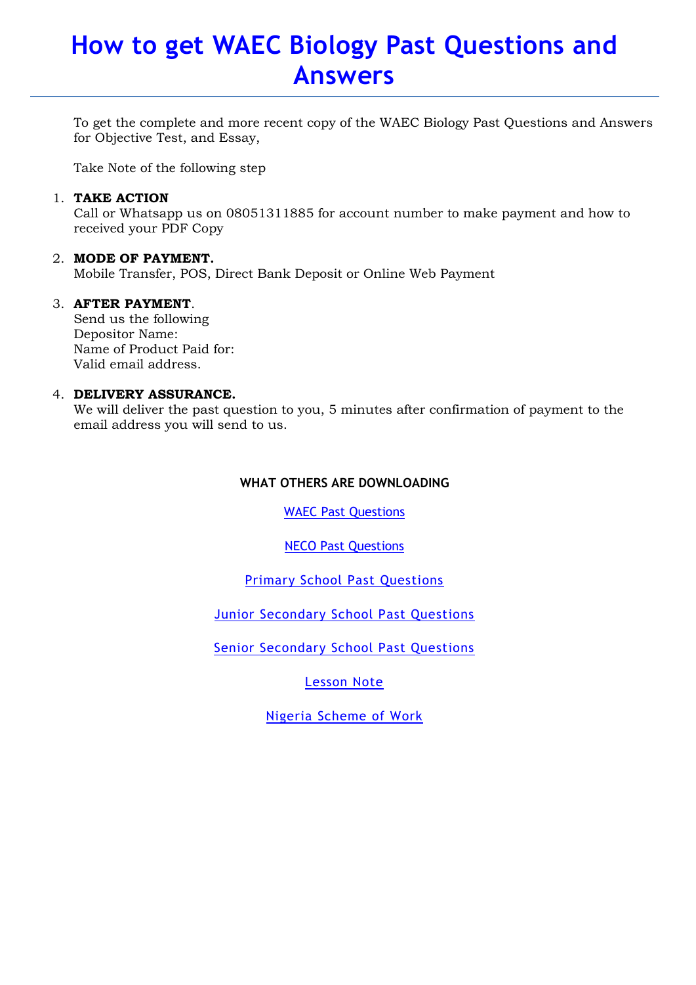# How to get WAEC Biology Past Questions and Answers

To get the complete and more recent copy of the WAEC Biology Past Questions and Answers for Objective Test, and Essay,

Take Note of the following step

# 1. TAKE ACTION

Call or Whatsapp us on 08051311885 for account number to make payment and how to received your PDF Copy

# 2. MODE OF PAYMENT.

Mobile Transfer, POS, Direct Bank Deposit or Online Web Payment

# 3. AFTER PAYMENT.

Send us the following Depositor Name: Name of Product Paid for: Valid email address.

# 4. DELIVERY ASSURANCE.

We will deliver the past question to you, 5 minutes after confirmation of payment to the email address you will send to us.

# WHAT OTHERS ARE DOWNLOADING

WAEC Past Questions

NECO Past Questions

Primary School Past Questions

Junior Secondary School Past Questions

Senior Secondary School Past Questions

Lesson Note

Nigeria Scheme of Work